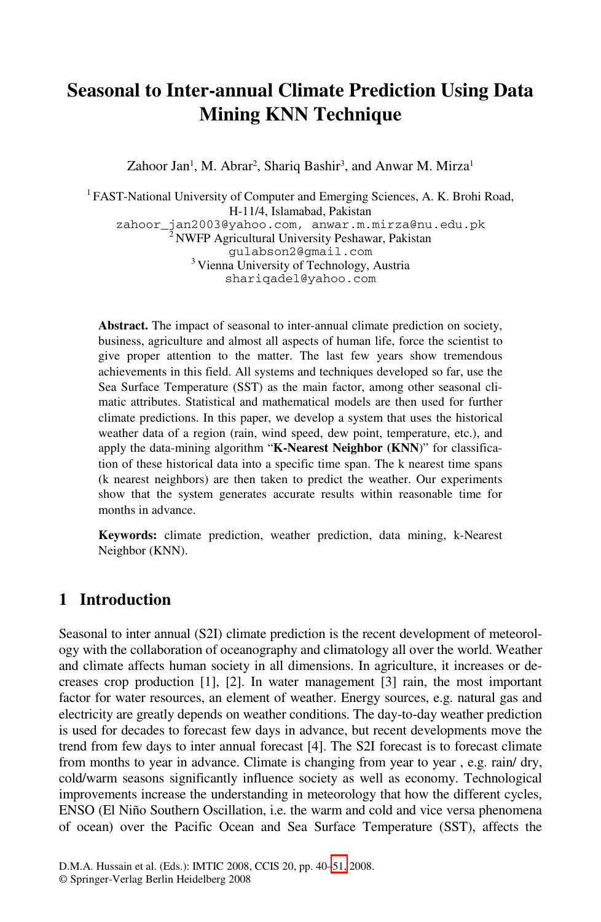# **Seasonal to Inter-annual Climate Prediction Using Data Mining KNN Technique**

Zahoor Jan<sup>1</sup>, M. Abrar<sup>2</sup>, Shariq Bashir<sup>3</sup>, and Anwar M. Mirza<sup>1</sup>

<sup>1</sup> FAST-National University of Computer and Emerging Sciences, A. K. Brohi Road, H-11/4, Islamabad, Pakistan

zahoor\_jan2003@yahoo.com, anwar.m.mirza@nu.edu.pk<br><sup>2</sup> NWFP Agricultural University Peshawar, Pakistan<br>gulabson2@gmail.com  $3$  Vienna University of Technology, Austria shariqadel@yahoo.com

**Abstract.** The impact of seasonal to inter-annual climate prediction on society, business, agriculture and almost all aspects of human life, force the scientist to give proper attention to the matter. The last few years show tremendous achievements in this field. All systems and techniques developed so far, use the Sea Surface Temperature (SST) as the main factor, among other seasonal climatic attributes. Statistical and mathematical models are then used for further climate predictions. In this paper, we develop a system that uses the historical weather data of a region (rain, wind speed, dew point, temperature, etc.), and apply the data-mining algorithm "**K-Nearest Neighbor (KNN**)" for classification of these historical data into a specific time span. The k nearest time spans (k nearest neighbors) are then taken to predict the weather. Our experiments show that the system generates accurate results within reasonable time for months in advance.

**Keywords:** climate prediction, weather prediction, data mining, k-Nearest Neighbor (KNN).

## **1 Introduction**

Seasonal to inter annual (S2I) climate prediction is the recent development of meteorology with the collaboration of oceanography and climatology all over the world. Weather and climate affects human society in all dimensions. In agriculture, it increases or decreases crop production [1], [2]. In water management [3] rain, the most important factor for water resources, an element of weather. Energy sources, e.g. natural gas and electricity are greatly depends on weather conditions. The day-to-day weather prediction is used for decades to forec[ast f](#page-11-0)ew days in advance, but recent developments move the trend from few days to inter annual forecast [4]. The S2I forecast is to forecast climate from months to year in advance. Climate is changing from year to year, e.g. rain/ dry, cold/warm seasons significantly influence society as well as economy. Technological improvements increase the understanding in meteorology that how the different cycles, ENSO (El Niño Southern Oscillation, i.e. the warm and cold and vice versa phenomena of ocean) over the Pacific Ocean and Sea Surface Temperature (SST), affects the

D.M.A. Hussain et al. (Eds.): IMTIC 2008, CCIS 20, pp. 40–51, 2008.

<sup>©</sup> Springer-Verlag Berlin Heidelberg 2008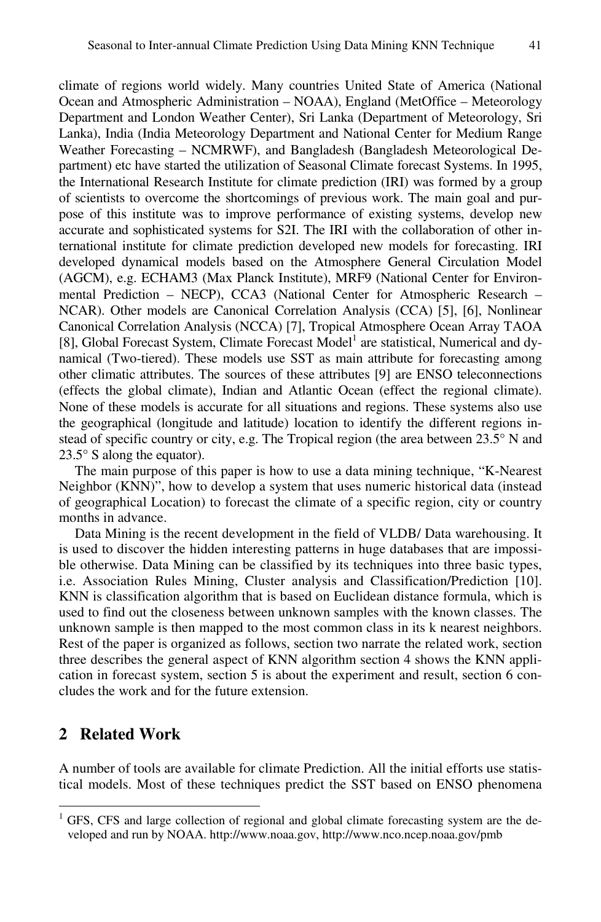climate of regions world widely. Many countries United State of America (National Ocean and Atmospheric Administration – NOAA), England (MetOffice – Meteorology Department and London Weather Center), Sri Lanka (Department of Meteorology, Sri Lanka), India (India Meteorology Department and National Center for Medium Range Weather Forecasting – NCMRWF), and Bangladesh (Bangladesh Meteorological Department) etc have started the utilization of Seasonal Climate forecast Systems. In 1995, the International Research Institute for climate prediction (IRI) was formed by a group of scientists to overcome the shortcomings of previous work. The main goal and purpose of this institute was to improve performance of existing systems, develop new accurate and sophisticated systems for S2I. The IRI with the collaboration of other international institute for climate prediction developed new models for forecasting. IRI developed dynamical models based on the Atmosphere General Circulation Model (AGCM), e.g. ECHAM3 (Max Planck Institute), MRF9 (National Center for Environmental Prediction – NECP), CCA3 (National Center for Atmospheric Research – NCAR). Other models are Canonical Correlation Analysis (CCA) [5], [6], Nonlinear Canonical Correlation Analysis (NCCA) [7], Tropical Atmosphere Ocean Array TAOA [8], Global Forecast System, Climate Forecast Model<sup>1</sup> are statistical, Numerical and dynamical (Two-tiered). These models use SST as main attribute for forecasting among other climatic attributes. The sources of these attributes [9] are ENSO teleconnections (effects the global climate), Indian and Atlantic Ocean (effect the regional climate). None of these models is accurate for all situations and regions. These systems also use the geographical (longitude and latitude) location to identify the different regions instead of specific country or city, e.g. The Tropical region (the area between 23.5° N and 23.5° S along the equator).

The main purpose of this paper is how to use a data mining technique, "K-Nearest Neighbor (KNN)", how to develop a system that uses numeric historical data (instead of geographical Location) to forecast the climate of a specific region, city or country months in advance.

Data Mining is the recent development in the field of VLDB/ Data warehousing. It is used to discover the hidden interesting patterns in huge databases that are impossible otherwise. Data Mining can be classified by its techniques into three basic types, i.e. Association Rules Mining, Cluster analysis and Classification/Prediction [10]. KNN is classification algorithm that is based on Euclidean distance formula, which is used to find out the closeness between unknown samples with the known classes. The unknown sample is then mapped to the most common class in its k nearest neighbors. Rest of the paper is organized as follows, section two narrate the related work, section three describes the general aspect of KNN algorithm section 4 shows the KNN application in forecast system, section 5 is about the experiment and result, section 6 concludes the work and for the future extension.

### **2 Related Work**

-

A number of tools are available for climate Prediction. All the initial efforts use statistical models. Most of these techniques predict the SST based on ENSO phenomena

<sup>&</sup>lt;sup>1</sup> GFS, CFS and large collection of regional and global climate forecasting system are the developed and run by NOAA. http://www.noaa.gov, http://www.nco.ncep.noaa.gov/pmb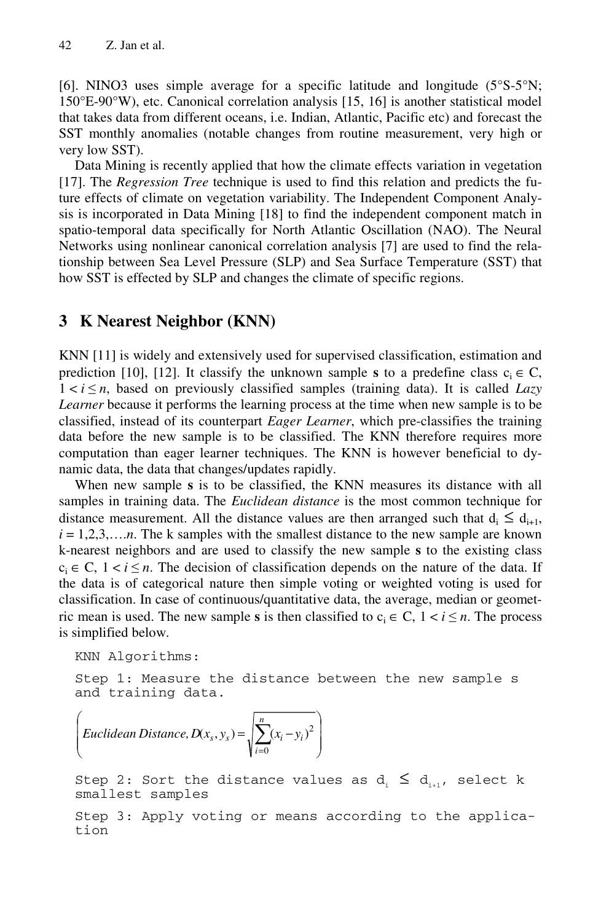[6]. NINO3 uses simple average for a specific latitude and longitude (5°S-5°N; 150°E-90°W), etc. Canonical correlation analysis [15, 16] is another statistical model that takes data from different oceans, i.e. Indian, Atlantic, Pacific etc) and forecast the SST monthly anomalies (notable changes from routine measurement, very high or very low SST).

Data Mining is recently applied that how the climate effects variation in vegetation [17]. The *Regression Tree* technique is used to find this relation and predicts the future effects of climate on vegetation variability. The Independent Component Analysis is incorporated in Data Mining [18] to find the independent component match in spatio-temporal data specifically for North Atlantic Oscillation (NAO). The Neural Networks using nonlinear canonical correlation analysis [7] are used to find the relationship between Sea Level Pressure (SLP) and Sea Surface Temperature (SST) that how SST is effected by SLP and changes the climate of specific regions.

### **3 K Nearest Neighbor (KNN)**

KNN [11] is widely and extensively used for supervised classification, estimation and prediction [10], [12]. It classify the unknown sample **s** to a predefine class  $c_i \in C$ ,  $1 < i \leq n$ , based on previously classified samples (training data). It is called *Lazy Learner* because it performs the learning process at the time when new sample is to be classified, instead of its counterpart *Eager Learner*, which pre-classifies the training data before the new sample is to be classified. The KNN therefore requires more computation than eager learner techniques. The KNN is however beneficial to dynamic data, the data that changes/updates rapidly.

When new sample **s** is to be classified, the KNN measures its distance with all samples in training data. The *Euclidean distance* is the most common technique for distance measurement. All the distance values are then arranged such that  $d_i \leq d_{i+1}$ ,  $i = 1, 2, 3, \ldots, n$ . The k samples with the smallest distance to the new sample are known k-nearest neighbors and are used to classify the new sample **s** to the existing class  $c_i \in C$ ,  $1 \le i \le n$ . The decision of classification depends on the nature of the data. If the data is of categorical nature then simple voting or weighted voting is used for classification. In case of continuous/quantitative data, the average, median or geometric mean is used. The new sample **s** is then classified to  $c_i \in C$ ,  $1 < i \leq n$ . The process is simplified below.

KNN Algorithms:

Step 1: Measure the distance between the new sample s and training data.

 $\overline{\phantom{a}}$  $\overline{a}$ ⎠ ⎞  $\parallel$  $\mathsf I$ ⎝  $\left( Euclidean\ Distance, D(x_s, y_s) = \sqrt{\sum_{i=0}^{n} (x_i - x_i)^2} \right)$ *n i s s s i i s i s i s i s i s i s i s i s i s i s i x i x i s i s i s i s i s i s i s i s i s i s i s i s i s i* 0  $(x_s, y_s) = \sum (x_i - y_i)^2$ 

Step 2: Sort the distance values as  $d_i \leq d_{i+1}$ , select k smallest samples

Step 3: Apply voting or means according to the application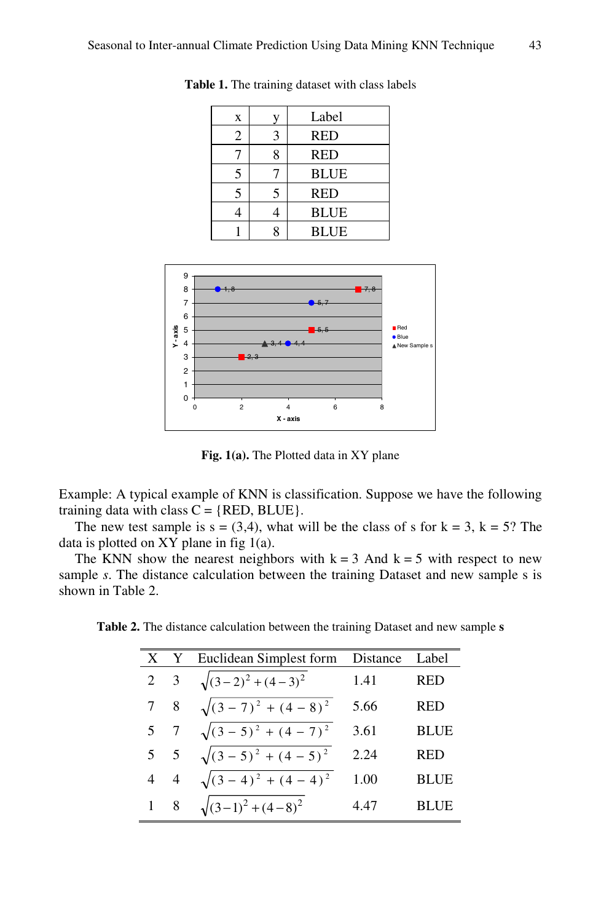| X |   | Label       |
|---|---|-------------|
| 2 | 3 | <b>RED</b>  |
|   | 8 | <b>RED</b>  |
| 5 |   | <b>BLUE</b> |
| 5 | 5 | <b>RED</b>  |
|   |   | <b>BLUE</b> |
|   |   | <b>BLUE</b> |

**Table 1.** The training dataset with class labels



**Fig. 1(a).** The Plotted data in XY plane

Example: A typical example of KNN is classification. Suppose we have the following training data with class  $C = \{RED, BLUE\}.$ 

The new test sample is  $s = (3, 4)$ , what will be the class of s for  $k = 3$ ,  $k = 5$ ? The data is plotted on  $XY$  plane in fig 1(a).

The KNN show the nearest neighbors with  $k = 3$  And  $k = 5$  with respect to new sample *s*. The distance calculation between the training Dataset and new sample s is shown in Table 2.

|    |                | Euclidean Simplest form  | Distance | Label       |
|----|----------------|--------------------------|----------|-------------|
| 2  | 3              | $\sqrt{(3-2)^2+(4-3)^2}$ | 1.41     | <b>RED</b>  |
|    | -8             | $\sqrt{(3-7)^2+(4-8)^2}$ | 5.66     | <b>RED</b>  |
| 5  |                | $\sqrt{(3-5)^2+(4-7)^2}$ | 3.61     | <b>BLUE</b> |
| 5. | $\overline{5}$ | $\sqrt{(3-5)^2+(4-5)^2}$ | 2.24     | <b>RED</b>  |
| 4  | $\overline{4}$ | $\sqrt{(3-4)^2+(4-4)^2}$ | 1.00     | <b>BLUE</b> |
|    | - 8            | $\sqrt{(3-1)^2+(4-8)^2}$ | 4.47     | <b>BLUE</b> |

**Table 2.** The distance calculation between the training Dataset and new sample **s**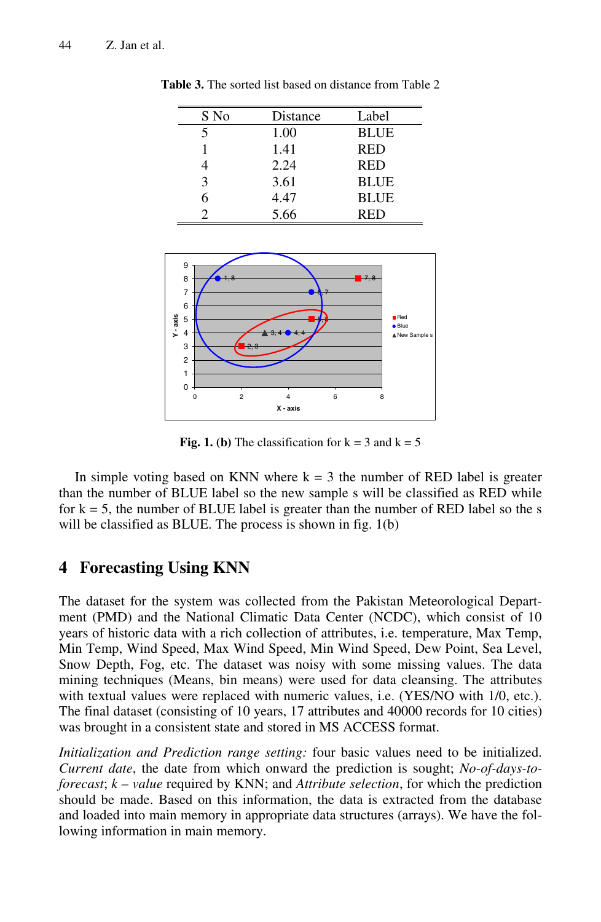| S No          | Distance | Label       |
|---------------|----------|-------------|
| 5             | 1.00     | <b>BLUE</b> |
|               | 1.41     | <b>RED</b>  |
|               | 2.24     | <b>RED</b>  |
| $\mathcal{R}$ | 3.61     | <b>BLUE</b> |
| 6             | 4.47     | <b>BLUE</b> |
| っ             | 5.66     | RED         |

**Table 3.** The sorted list based on distance from Table 2



**Fig. 1. (b)** The classification for  $k = 3$  and  $k = 5$ 

In simple voting based on KNN where  $k = 3$  the number of RED label is greater than the number of BLUE label so the new sample s will be classified as RED while for  $k = 5$ , the number of BLUE label is greater than the number of RED label so the s will be classified as BLUE. The process is shown in fig. 1(b)

### **4 Forecasting Using KNN**

The dataset for the system was collected from the Pakistan Meteorological Department (PMD) and the National Climatic Data Center (NCDC), which consist of 10 years of historic data with a rich collection of attributes, i.e. temperature, Max Temp, Min Temp, Wind Speed, Max Wind Speed, Min Wind Speed, Dew Point, Sea Level, Snow Depth, Fog, etc. The dataset was noisy with some missing values. The data mining techniques (Means, bin means) were used for data cleansing. The attributes with textual values were replaced with numeric values, i.e. (YES/NO with 1/0, etc.). The final dataset (consisting of 10 years, 17 attributes and 40000 records for 10 cities) was brought in a consistent state and stored in MS ACCESS format.

*Initialization and Prediction range setting:* four basic values need to be initialized. *Current date*, the date from which onward the prediction is sought; *No-of-days-toforecast*; *k – value* required by KNN; and *Attribute selection*, for which the prediction should be made. Based on this information, the data is extracted from the database and loaded into main memory in appropriate data structures (arrays). We have the following information in main memory.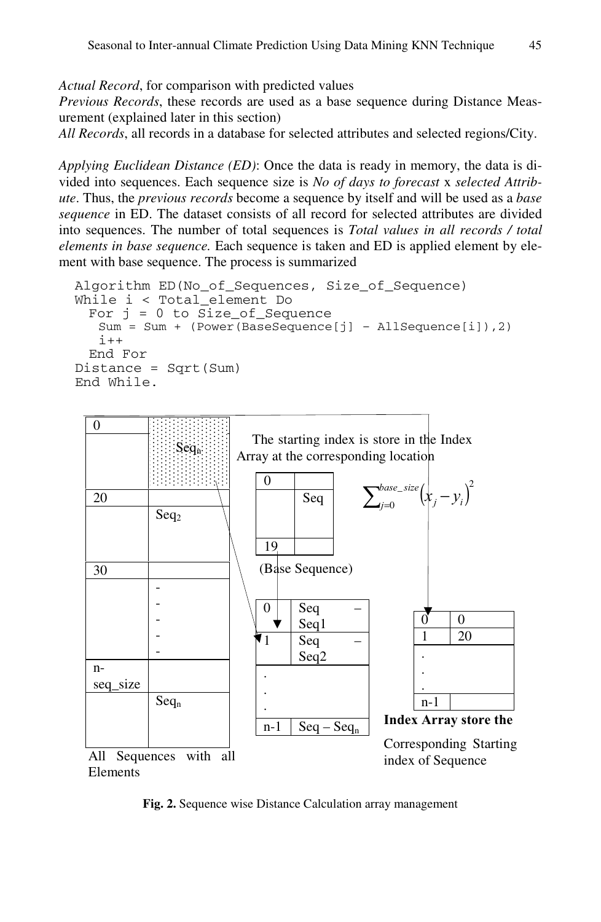*Actual Record*, for comparison with predicted values

*Previous Records*, these records are used as a base sequence during Distance Measurement (explained later in this section)

*All Records*, all records in a database for selected attributes and selected regions/City.

*Applying Euclidean Distance (ED)*: Once the data is ready in memory, the data is divided into sequences. Each sequence size is *No of days to forecast* x *selected Attribute*. Thus, the *previous records* become a sequence by itself and will be used as a *base sequence* in ED. The dataset consists of all record for selected attributes are divided into sequences. The number of total sequences is *Total values in all records / total elements in base sequence.* Each sequence is taken and ED is applied element by element with base sequence. The process is summarized

```
Algorithm ED(No_of_Sequences, Size_of_Sequence) 
While i < Total_element Do 
 For j = 0 to size_of Sequence
    Sum = Sum + (Power(BaseSequence[j] – AllSequence[i]),2) 
   i++ End For 
Distance = Sqrt(Sum)End While.
```


**Fig. 2.** Sequence wise Distance Calculation array management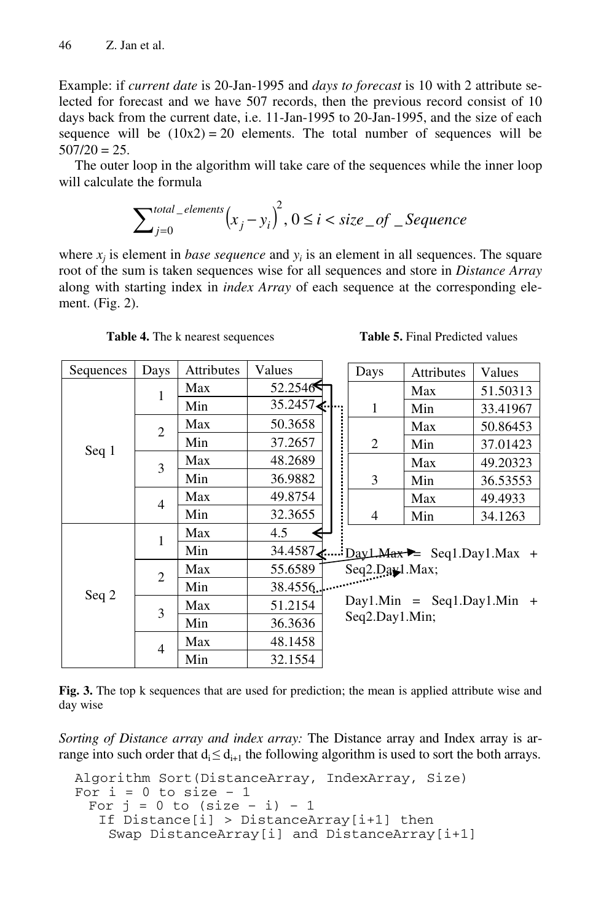Example: if *current date* is 20-Jan-1995 and *days to forecast* is 10 with 2 attribute selected for forecast and we have 507 records, then the previous record consist of 10 days back from the current date, i.e. 11-Jan-1995 to 20-Jan-1995, and the size of each sequence will be  $(10x2) = 20$  elements. The total number of sequences will be  $507/20 = 25.$ 

The outer loop in the algorithm will take care of the sequences while the inner loop will calculate the formula

$$
\sum_{j=0}^{total\_elements} (x_j - y_i)^2, 0 \le i < size\_of\_Sequence
$$

where  $x_i$  is element in *base sequence* and  $y_i$  is an element in all sequences. The square root of the sum is taken sequences wise for all sequences and store in *Distance Array*  along with starting index in *index Array* of each sequence at the corresponding element. (Fig. 2).

| Sequences | Days           | <b>Attributes</b> | Values          |  | Days           | <b>Attributes</b>                                              | Values   |
|-----------|----------------|-------------------|-----------------|--|----------------|----------------------------------------------------------------|----------|
| Seq 1     | 1              | Max               | 52.2546         |  |                | Max                                                            | 51.50313 |
|           |                | Min               | 35.2457 $\cdot$ |  | 1              | Min                                                            | 33.41967 |
|           | $\overline{2}$ | Max               | 50.3658         |  |                | Max                                                            | 50.86453 |
|           |                | Min               | 37.2657         |  | 2              | Min                                                            | 37.01423 |
|           | $\overline{3}$ | Max               | 48.2689         |  | 3              | Max                                                            | 49.20323 |
|           |                | Min               | 36.9882         |  |                | Min                                                            | 36.53553 |
|           | $\overline{4}$ | Max               | 49.8754         |  |                | Max                                                            | 49.4933  |
|           |                | Min               | 32.3655         |  | 4              | Min                                                            | 34.1263  |
| Seq 2     | $\mathbf{1}$   | Max               | 4.5             |  |                |                                                                |          |
|           |                | Min               | 34.4587         |  |                | $\frac{1}{2}$ Day LMax $\blacktriangleright$ Seq 1.Day 1.Max + |          |
|           | $\overline{2}$ | Max               | 55.6589         |  | Seq2.Day1.Max; |                                                                |          |
|           |                | Min               | 38.4556.        |  |                |                                                                |          |
|           | 3              | Max               | 51.2154         |  |                | Day1.Min = Seq1.Day1.Min +                                     |          |
|           |                | Min               | 36.3636         |  | Seq2.Day1.Min; |                                                                |          |
|           | $\overline{4}$ | Max               | 48.1458         |  |                |                                                                |          |
|           |                | Min               | 32.1554         |  |                |                                                                |          |

**Table 4.** The k nearest sequences **Table 5.** Final Predicted values

**Fig. 3.** The top k sequences that are used for prediction; the mean is applied attribute wise and day wise

*Sorting of Distance array and index array:* The Distance array and Index array is arrange into such order that  $d_i \leq d_{i+1}$  the following algorithm is used to sort the both arrays.

```
Algorithm Sort(DistanceArray, IndexArray, Size) 
For i = 0 to size -1For j = 0 to (size - i) - 1
   If Distance[i] > DistanceArray[i+1] then 
     Swap DistanceArray[i] and DistanceArray[i+1]
```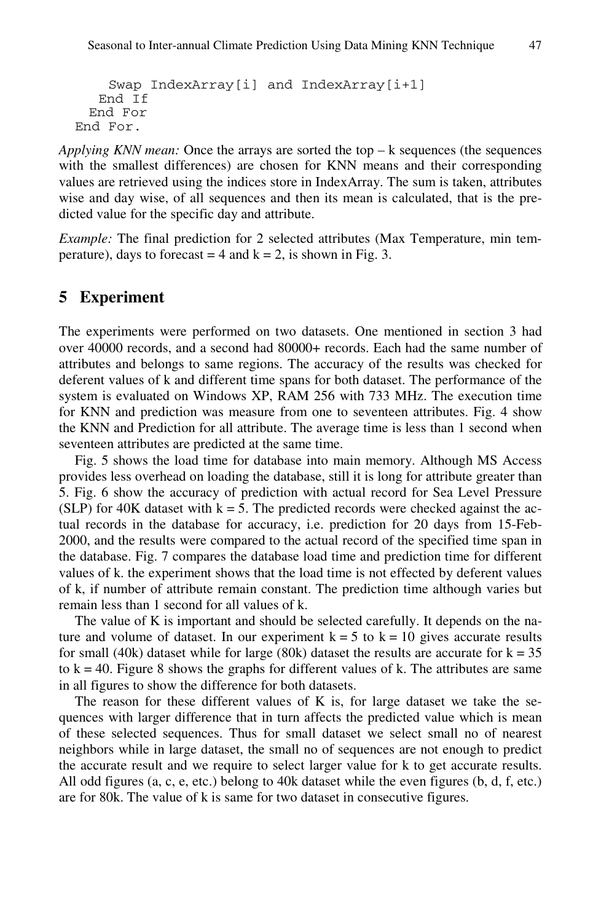```
 Swap IndexArray[i] and IndexArray[i+1] 
    End If 
  End For 
End For.
```
*Applying KNN mean:* Once the arrays are sorted the top – k sequences (the sequences with the smallest differences) are chosen for KNN means and their corresponding values are retrieved using the indices store in IndexArray. The sum is taken, attributes wise and day wise, of all sequences and then its mean is calculated, that is the predicted value for the specific day and attribute.

*Example:* The final prediction for 2 selected attributes (Max Temperature, min temperature), days to forecast  $= 4$  and  $k = 2$ , is shown in Fig. 3.

#### **5 Experiment**

The experiments were performed on two datasets. One mentioned in section 3 had over 40000 records, and a second had 80000+ records. Each had the same number of attributes and belongs to same regions. The accuracy of the results was checked for deferent values of k and different time spans for both dataset. The performance of the system is evaluated on Windows XP, RAM 256 with 733 MHz. The execution time for KNN and prediction was measure from one to seventeen attributes. Fig. 4 show the KNN and Prediction for all attribute. The average time is less than 1 second when seventeen attributes are predicted at the same time.

Fig. 5 shows the load time for database into main memory. Although MS Access provides less overhead on loading the database, still it is long for attribute greater than 5. Fig. 6 show the accuracy of prediction with actual record for Sea Level Pressure (SLP) for 40K dataset with  $k = 5$ . The predicted records were checked against the actual records in the database for accuracy, i.e. prediction for 20 days from 15-Feb-2000, and the results were compared to the actual record of the specified time span in the database. Fig. 7 compares the database load time and prediction time for different values of k. the experiment shows that the load time is not effected by deferent values of k, if number of attribute remain constant. The prediction time although varies but remain less than 1 second for all values of k.

The value of K is important and should be selected carefully. It depends on the nature and volume of dataset. In our experiment  $k = 5$  to  $k = 10$  gives accurate results for small (40k) dataset while for large (80k) dataset the results are accurate for  $k = 35$ to  $k = 40$ . Figure 8 shows the graphs for different values of k. The attributes are same in all figures to show the difference for both datasets.

The reason for these different values of K is, for large dataset we take the sequences with larger difference that in turn affects the predicted value which is mean of these selected sequences. Thus for small dataset we select small no of nearest neighbors while in large dataset, the small no of sequences are not enough to predict the accurate result and we require to select larger value for k to get accurate results. All odd figures (a, c, e, etc.) belong to 40k dataset while the even figures (b, d, f, etc.) are for 80k. The value of k is same for two dataset in consecutive figures.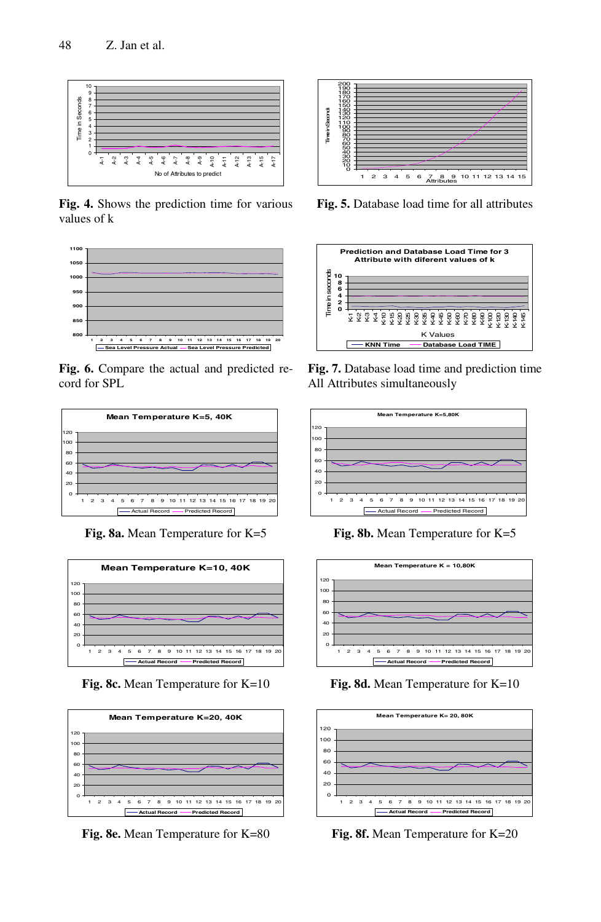

**Fig. 4.** Shows the prediction time for various values of k



**Fig. 6.** Compare the actual and predicted record for SPL







**Fig. 8e.** Mean Temperature for K=80 **Fig. 8f.** Mean Temperature for K=20



**Fig. 5.** Database load time for all attributes



**Fig. 7.** Database load time and prediction time All Attributes simultaneously



**Fig. 8a.** Mean Temperature for K=5 **Fig. 8b.** Mean Temperature for K=5



**Fig. 8c.** Mean Temperature for K=10 **Fig. 8d.** Mean Temperature for K=10

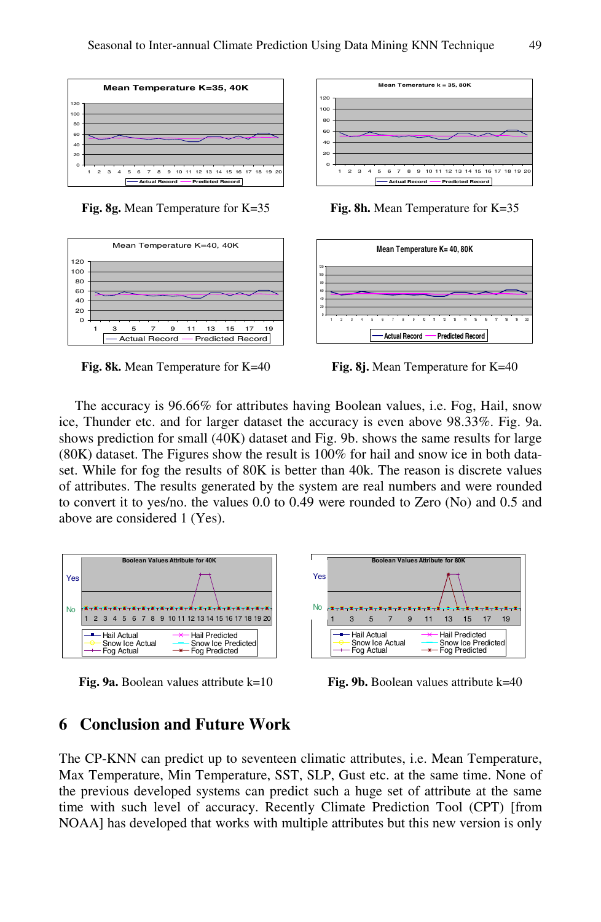



**Fig. 8k.** Mean Temperature for K=40 **Fig. 8j.** Mean Temperature for K=40



**Fig. 8g.** Mean Temperature for K=35 **Fig. 8h.** Mean Temperature for K=35



The accuracy is 96.66% for attributes having Boolean values, i.e. Fog, Hail, snow ice, Thunder etc. and for larger dataset the accuracy is even above 98.33%. Fig. 9a. shows prediction for small (40K) dataset and Fig. 9b. shows the same results for large (80K) dataset. The Figures show the result is 100% for hail and snow ice in both dataset. While for fog the results of 80K is better than 40k. The reason is discrete values of attributes. The results generated by the system are real numbers and were rounded to convert it to yes/no. the values 0.0 to 0.49 were rounded to Zero (No) and 0.5 and above are considered 1 (Yes).



**Fig. 9a.** Boolean values attribute k=10 **Fig. 9b.** Boolean values attribute k=40



### **6 Conclusion and Future Work**

The CP-KNN can predict up to seventeen climatic attributes, i.e. Mean Temperature, Max Temperature, Min Temperature, SST, SLP, Gust etc. at the same time. None of the previous developed systems can predict such a huge set of attribute at the same time with such level of accuracy. Recently Climate Prediction Tool (CPT) [from NOAA] has developed that works with multiple attributes but this new version is only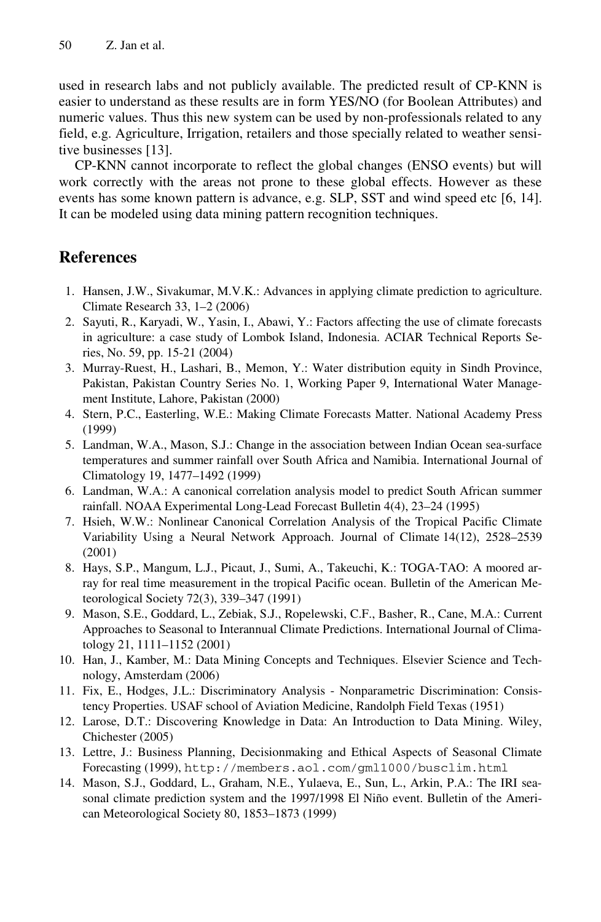used in research labs and not publicly available. The predicted result of CP-KNN is easier to understand as these results are in form YES/NO (for Boolean Attributes) and numeric values. Thus this new system can be used by non-professionals related to any field, e.g. Agriculture, Irrigation, retailers and those specially related to weather sensitive businesses [13].

CP-KNN cannot incorporate to reflect the global changes (ENSO events) but will work correctly with the areas not prone to these global effects. However as these events has some known pattern is advance, e.g. SLP, SST and wind speed etc [6, 14]. It can be modeled using data mining pattern recognition techniques.

### **References**

- 1. Hansen, J.W., Sivakumar, M.V.K.: Advances in applying climate prediction to agriculture. Climate Research 33, 1–2 (2006)
- 2. Sayuti, R., Karyadi, W., Yasin, I., Abawi, Y.: Factors affecting the use of climate forecasts in agriculture: a case study of Lombok Island, Indonesia. ACIAR Technical Reports Series, No. 59, pp. 15-21 (2004)
- 3. Murray-Ruest, H., Lashari, B., Memon, Y.: Water distribution equity in Sindh Province, Pakistan, Pakistan Country Series No. 1, Working Paper 9, International Water Management Institute, Lahore, Pakistan (2000)
- 4. Stern, P.C., Easterling, W.E.: Making Climate Forecasts Matter. National Academy Press (1999)
- 5. Landman, W.A., Mason, S.J.: Change in the association between Indian Ocean sea-surface temperatures and summer rainfall over South Africa and Namibia. International Journal of Climatology 19, 1477–1492 (1999)
- 6. Landman, W.A.: A canonical correlation analysis model to predict South African summer rainfall. NOAA Experimental Long-Lead Forecast Bulletin 4(4), 23–24 (1995)
- 7. Hsieh, W.W.: Nonlinear Canonical Correlation Analysis of the Tropical Pacific Climate Variability Using a Neural Network Approach. Journal of Climate 14(12), 2528–2539 (2001)
- 8. Hays, S.P., Mangum, L.J., Picaut, J., Sumi, A., Takeuchi, K.: TOGA-TAO: A moored array for real time measurement in the tropical Pacific ocean. Bulletin of the American Meteorological Society 72(3), 339–347 (1991)
- 9. Mason, S.E., Goddard, L., Zebiak, S.J., Ropelewski, C.F., Basher, R., Cane, M.A.: Current Approaches to Seasonal to Interannual Climate Predictions. International Journal of Climatology 21, 1111–1152 (2001)
- 10. Han, J., Kamber, M.: Data Mining Concepts and Techniques. Elsevier Science and Technology, Amsterdam (2006)
- 11. Fix, E., Hodges, J.L.: Discriminatory Analysis Nonparametric Discrimination: Consistency Properties. USAF school of Aviation Medicine, Randolph Field Texas (1951)
- 12. Larose, D.T.: Discovering Knowledge in Data: An Introduction to Data Mining. Wiley, Chichester (2005)
- 13. Lettre, J.: Business Planning, Decisionmaking and Ethical Aspects of Seasonal Climate Forecasting (1999), http://members.aol.com/gml1000/busclim.html
- 14. Mason, S.J., Goddard, L., Graham, N.E., Yulaeva, E., Sun, L., Arkin, P.A.: The IRI seasonal climate prediction system and the 1997/1998 El Niño event. Bulletin of the American Meteorological Society 80, 1853–1873 (1999)